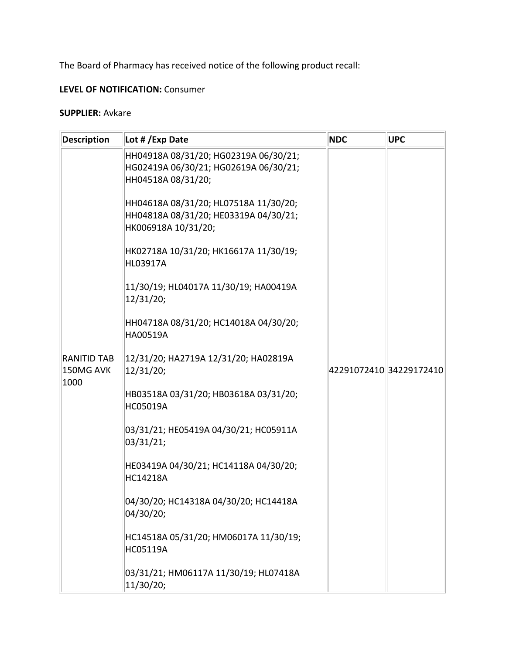The Board of Pharmacy has received notice of the following product recall:

## **LEVEL OF NOTIFICATION:** Consumer

## **SUPPLIER:** Avkare

| <b>Description</b>                      | Lot # / Exp Date                                                                                      | <b>NDC</b>              | <b>UPC</b> |
|-----------------------------------------|-------------------------------------------------------------------------------------------------------|-------------------------|------------|
|                                         | HH04918A 08/31/20; HG02319A 06/30/21;<br>HG02419A 06/30/21; HG02619A 06/30/21;<br>HH04518A 08/31/20;  |                         |            |
|                                         | HH04618A 08/31/20; HL07518A 11/30/20;<br>HH04818A 08/31/20; HE03319A 04/30/21;<br>HK006918A 10/31/20; |                         |            |
|                                         | HK02718A 10/31/20; HK16617A 11/30/19;<br>HL03917A                                                     |                         |            |
|                                         | 11/30/19; HL04017A 11/30/19; HA00419A<br>12/31/20;                                                    |                         |            |
| <b>RANITID TAB</b><br>150MG AVK<br>1000 | HH04718A 08/31/20; HC14018A 04/30/20;<br>HA00519A                                                     | 42291072410 34229172410 |            |
|                                         | 12/31/20; HA2719A 12/31/20; HA02819A<br>12/31/20;                                                     |                         |            |
|                                         | HB03518A 03/31/20; HB03618A 03/31/20;<br>HC05019A                                                     |                         |            |
|                                         | 03/31/21; HE05419A 04/30/21; HC05911A<br>03/31/21;                                                    |                         |            |
|                                         | HE03419A 04/30/21; HC14118A 04/30/20;<br>HC14218A                                                     |                         |            |
|                                         | 04/30/20; HC14318A 04/30/20; HC14418A<br>04/30/20;                                                    |                         |            |
|                                         | HC14518A 05/31/20; HM06017A 11/30/19;<br>HC05119A                                                     |                         |            |
|                                         | 03/31/21; HM06117A 11/30/19; HL07418A<br>11/30/20;                                                    |                         |            |